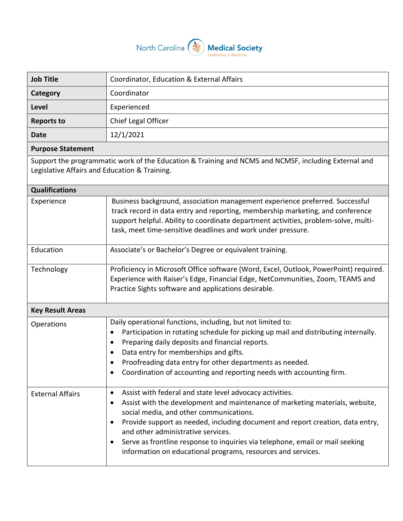

| <b>Job Title</b>                                                                                                                                      | Coordinator, Education & External Affairs                                                                                                                                                                                                                                                                                                                                                                                                                                                |  |
|-------------------------------------------------------------------------------------------------------------------------------------------------------|------------------------------------------------------------------------------------------------------------------------------------------------------------------------------------------------------------------------------------------------------------------------------------------------------------------------------------------------------------------------------------------------------------------------------------------------------------------------------------------|--|
| Category                                                                                                                                              | Coordinator                                                                                                                                                                                                                                                                                                                                                                                                                                                                              |  |
| Level                                                                                                                                                 | Experienced                                                                                                                                                                                                                                                                                                                                                                                                                                                                              |  |
| <b>Reports to</b>                                                                                                                                     | Chief Legal Officer                                                                                                                                                                                                                                                                                                                                                                                                                                                                      |  |
| <b>Date</b>                                                                                                                                           | 12/1/2021                                                                                                                                                                                                                                                                                                                                                                                                                                                                                |  |
| <b>Purpose Statement</b>                                                                                                                              |                                                                                                                                                                                                                                                                                                                                                                                                                                                                                          |  |
| Support the programmatic work of the Education & Training and NCMS and NCMSF, including External and<br>Legislative Affairs and Education & Training. |                                                                                                                                                                                                                                                                                                                                                                                                                                                                                          |  |
| <b>Qualifications</b>                                                                                                                                 |                                                                                                                                                                                                                                                                                                                                                                                                                                                                                          |  |
| Experience                                                                                                                                            | Business background, association management experience preferred. Successful<br>track record in data entry and reporting, membership marketing, and conference<br>support helpful. Ability to coordinate department activities, problem-solve, multi-<br>task, meet time-sensitive deadlines and work under pressure.                                                                                                                                                                    |  |
| Education                                                                                                                                             | Associate's or Bachelor's Degree or equivalent training.                                                                                                                                                                                                                                                                                                                                                                                                                                 |  |
| Technology                                                                                                                                            | Proficiency in Microsoft Office software (Word, Excel, Outlook, PowerPoint) required.<br>Experience with Raiser's Edge, Financial Edge, NetCommunities, Zoom, TEAMS and<br>Practice Sights software and applications desirable.                                                                                                                                                                                                                                                          |  |
| <b>Key Result Areas</b>                                                                                                                               |                                                                                                                                                                                                                                                                                                                                                                                                                                                                                          |  |
| Operations                                                                                                                                            | Daily operational functions, including, but not limited to:<br>Participation in rotating schedule for picking up mail and distributing internally.<br>٠<br>Preparing daily deposits and financial reports.<br>$\bullet$<br>Data entry for memberships and gifts.<br>$\bullet$<br>Proofreading data entry for other departments as needed.<br>Coordination of accounting and reporting needs with accounting firm.<br>٠                                                                   |  |
| <b>External Affairs</b>                                                                                                                               | Assist with federal and state level advocacy activities.<br>$\bullet$<br>Assist with the development and maintenance of marketing materials, website,<br>٠<br>social media, and other communications.<br>Provide support as needed, including document and report creation, data entry,<br>٠<br>and other administrative services.<br>Serve as frontline response to inquiries via telephone, email or mail seeking<br>٠<br>information on educational programs, resources and services. |  |